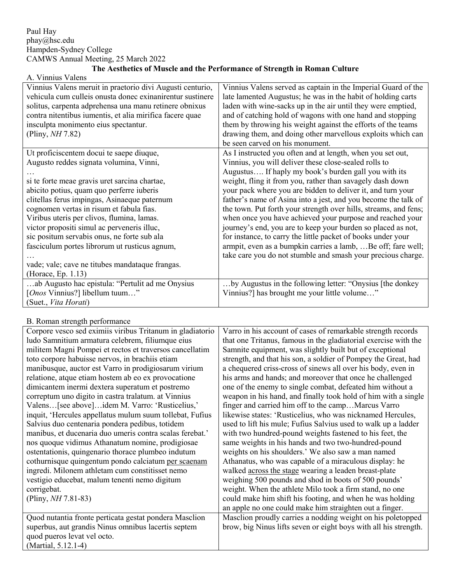## A. Vinnius Valens

| Vinnius Valens meruit in praetorio divi Augusti centurio, | Vinnius Valens served as captain in the Imperial Guard of the    |
|-----------------------------------------------------------|------------------------------------------------------------------|
| vehicula cum culleis onusta donec exinanirentur sustinere | late lamented Augustus; he was in the habit of holding carts     |
| solitus, carpenta adprehensa una manu retinere obnixus    | laden with wine-sacks up in the air until they were emptied,     |
| contra nitentibus iumentis, et alia mirifica facere quae  | and of catching hold of wagons with one hand and stopping        |
| insculpta monimento eius spectantur.                      | them by throwing his weight against the efforts of the teams     |
| (Pliny, $NH 7.82$ )                                       | drawing them, and doing other marvellous exploits which can      |
|                                                           | be seen carved on his monument.                                  |
| Ut proficiscentem docui te saepe diuque,                  | As I instructed you often and at length, when you set out,       |
| Augusto reddes signata volumina, Vinni,                   | Vinnius, you will deliver these close-sealed rolls to            |
|                                                           | Augustus If haply my book's burden gall you with its             |
| si te forte meae gravis uret sarcina chartae,             | weight, fling it from you, rather than savagely dash down        |
| abicito potius, quam quo perferre iuberis                 | your pack where you are bidden to deliver it, and turn your      |
| clitellas ferus impingas, Asinaeque paternum              | father's name of Asina into a jest, and you become the talk of   |
| cognomen vertas in risum et fabula fias.                  | the town. Put forth your strength over hills, streams, and fens; |
| Viribus uteris per clivos, flumina, lamas.                | when once you have achieved your purpose and reached your        |
| victor propositi simul ac perveneris illuc,               | journey's end, you are to keep your burden so placed as not,     |
| sic positum servabis onus, ne forte sub ala               | for instance, to carry the little packet of books under your     |
| fasciculum portes librorum ut rusticus agnum,             | armpit, even as a bumpkin carries a lamb,  Be off; fare well;    |
|                                                           | take care you do not stumble and smash your precious charge.     |
| vade; vale; cave ne titubes mandataque frangas.           |                                                                  |
| (Horace, Ep. 1.13)                                        |                                                                  |
| ab Augusto hac epistula: "Pertulit ad me Onysius          | by Augustus in the following letter: "Onysius [the donkey        |
| [ <i>Onos</i> Vinnius?] libellum tuum"                    | Vinnius?] has brought me your little volume"                     |
| (Suet., Vita Horati)                                      |                                                                  |

## B. Roman strength performance

| D. KUMAN SUCHEM DELIUMMANC                                |                                                                  |
|-----------------------------------------------------------|------------------------------------------------------------------|
| Corpore vesco sed eximiis viribus Tritanum in gladiatorio | Varro in his account of cases of remarkable strength records     |
| ludo Samnitium armatura celebrem, filiumque eius          | that one Tritanus, famous in the gladiatorial exercise with the  |
| militem Magni Pompei et rectos et traversos cancellatim   | Samnite equipment, was slightly built but of exceptional         |
| toto corpore habuisse nervos, in brachiis etiam           | strength, and that his son, a soldier of Pompey the Great, had   |
| manibusque, auctor est Varro in prodigiosarum virium      | a chequered criss-cross of sinews all over his body, even in     |
| relatione, atque etiam hostem ab eo ex provocatione       | his arms and hands; and moreover that once he challenged         |
| dimicantem inermi dextera superatum et postremo           | one of the enemy to single combat, defeated him without a        |
| correptum uno digito in castra tralatum. at Vinnius       | weapon in his hand, and finally took hold of him with a single   |
| Valens [see above]idem M. Varro: 'Rusticelius,'           | finger and carried him off to the campMarcus Varro               |
| inquit, 'Hercules appellatus mulum suum tollebat, Fufius  | likewise states: 'Rusticelius, who was nicknamed Hercules,       |
| Salvius duo centenaria pondera pedibus, totidem           | used to lift his mule; Fufius Salvius used to walk up a ladder   |
| manibus, et ducenaria duo umeris contra scalas ferebat.'  | with two hundred-pound weights fastened to his feet, the         |
| nos quoque vidimus Athanatum nomine, prodigiosae          | same weights in his hands and two two-hundred-pound              |
| ostentationis, quingenario thorace plumbeo indutum        | weights on his shoulders.' We also saw a man named               |
| cothurnisque quingentum pondo calciatum per scaenam       | Athanatus, who was capable of a miraculous display: he           |
| ingredi. Milonem athletam cum constitisset nemo           | walked across the stage wearing a leaden breast-plate            |
| vestigio educebat, malum tenenti nemo digitum             | weighing 500 pounds and shod in boots of 500 pounds'             |
| corrigebat.                                               | weight. When the athlete Milo took a firm stand, no one          |
| (Pliny, $NH 7.81-83$ )                                    | could make him shift his footing, and when he was holding        |
|                                                           | an apple no one could make him straighten out a finger.          |
| Quod nutantia fronte perticata gestat pondera Masclion    | Masclion proudly carries a nodding weight on his poletopped      |
| superbus, aut grandis Ninus omnibus lacertis septem       | brow, big Ninus lifts seven or eight boys with all his strength. |
| quod pueros levat vel octo.                               |                                                                  |
| (Martial, 5.12.1-4)                                       |                                                                  |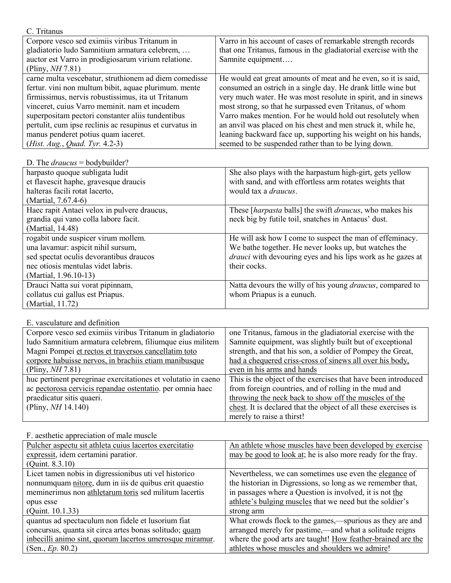| Varro in his account of cases of remarkable strength records    |
|-----------------------------------------------------------------|
| that one Tritanus, famous in the gladiatorial exercise with the |
| Samnite equipment                                               |
|                                                                 |
| He would eat great amounts of meat and he even, so it is said,  |
| consumed an ostrich in a single day. He drank little wine but   |
| very much water. He was most resolute in spirit, and in sinews  |
| most strong, so that he surpassed even Tritanus, of whom        |
| Varro makes mention. For he would hold out resolutely when      |
| an anvil was placed on his chest and men struck it, while he,   |
| leaning backward face up, supporting his weight on his hands,   |
| seemed to be suspended rather than to be lying down.            |
|                                                                 |

| D. The <i>draucus</i> = bodybuilder? |  |
|--------------------------------------|--|
|--------------------------------------|--|

| harpasto quoque subligata ludit             | She also plays with the harpastum high-girt, gets yellow           |
|---------------------------------------------|--------------------------------------------------------------------|
| et flavescit haphe, gravesque draucis       | with sand, and with effortless arm rotates weights that            |
| halteras facili rotat lacerto,              | would tax a <i>draucus</i> .                                       |
| (Martial, 7.67.4-6)                         |                                                                    |
| Haec rapit Antaei velox in pulvere draucus, | These [harpasta balls] the swift draucus, who makes his            |
| grandia qui vano colla labore facit.        | neck big by futile toil, snatches in Antaeus' dust.                |
| (Martial, 14.48)                            |                                                                    |
| rogabit unde suspicer virum mollem.         | He will ask how I come to suspect the man of effeminacy.           |
| una lavamur: aspicit nihil sursum,          | We bathe together. He never looks up, but watches the              |
| sed spectat oculis devorantibus draucos     | <i>drauci</i> with devouring eyes and his lips work as he gazes at |
| nec otiosis mentulas videt labris.          | their cocks.                                                       |
| (Martial, 1.96.10-13)                       |                                                                    |
| Drauci Natta sui vorat pipinnam,            | Natta devours the willy of his young <i>draucus</i> , compared to  |
| collatus cui gallus est Priapus.            | whom Priapus is a eunuch.                                          |
| (Martial, 11.72)                            |                                                                    |

## E. vasculature and definition

| Corpore vesco sed eximiis viribus Tritanum in gladiatorio     | one Tritanus, famous in the gladiatorial exercise with the      |
|---------------------------------------------------------------|-----------------------------------------------------------------|
| ludo Samnitium armatura celebrem, filiumque eius militem      | Samnite equipment, was slightly built but of exceptional        |
| Magni Pompei et rectos et traversos cancellatim toto          | strength, and that his son, a soldier of Pompey the Great,      |
| corpore habuisse nervos, in brachiis etiam manibusque         | had a chequered criss-cross of sinews all over his body,        |
| (Pliny, NH 7.81)                                              | even in his arms and hands                                      |
| huc pertinent peregrinae exercitationes et volutatio in caeno | This is the object of the exercises that have been introduced   |
| ac pectorosa cervicis repandae ostentatio. per omnia haec     | from foreign countries, and of rolling in the mud and           |
| praedicatur sitis quaeri.                                     | throwing the neck back to show off the muscles of the           |
| (Pliny, $NH 14.140$ )                                         | chest. It is declared that the object of all these exercises is |
|                                                               | merely to raise a thirst!                                       |

Pulcher aspectu sit athleta cuius lacertos exercitatio expressit, idem certamini paratior. (Quint. 8.3.10) An athlete whose muscles have been developed by exercise may be good to look at; he is also more ready for the fray. Licet tamen nobis in digressionibus uti vel historico nonnumquam nitore, dum in iis de quibus erit quaestio meminerimus non athletarum toris sed militum lacertis opus esse (Quint. 10.1.33) Nevertheless, we can sometimes use even the elegance of the historian in Digressions, so long as we remember that, in passages where a Question is involved, it is not the athlete's bulging muscles that we need but the soldier's strong arm quantus ad spectaculum non fidele et lusorium fiat concursus, quanta sit circa artes bonas solitudo; quam inbecilli animo sint, quorum lacertos umerosque miramur. (Sen., *Ep*. 80.2) What crowds flock to the games,—spurious as they are and arranged merely for pastime,—and what a solitude reigns where the good arts are taught! How feather-brained are the athletes whose muscles and shoulders we admire!

F. aesthetic appreciation of male muscle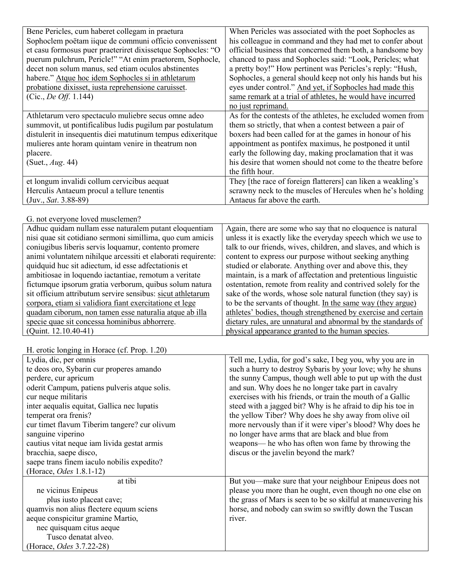| Bene Pericles, cum haberet collegam in praetura              | When Pericles was associated with the poet Sophocles as        |
|--------------------------------------------------------------|----------------------------------------------------------------|
| Sophoclem poëtam iique de communi officio convenissent       | his colleague in command and they had met to confer about      |
| et casu formosus puer praeteriret dixissetque Sophocles: "O  | official business that concerned them both, a handsome boy     |
| puerum pulchrum, Pericle!" "At enim praetorem, Sophocle,     | chanced to pass and Sophocles said: "Look, Pericles; what      |
| decet non solum manus, sed etiam oculos abstinentes          | a pretty boy!" How pertinent was Pericles's reply: "Hush,      |
| habere." Atque hoc idem Sophocles si in athletarum           | Sophocles, a general should keep not only his hands but his    |
| probatione dixisset, iusta reprehensione caruisset.          | eyes under control." And yet, if Sophocles had made this       |
| (Cic., <i>De Off.</i> 1.144)                                 | same remark at a trial of athletes, he would have incurred     |
|                                                              | no just reprimand.                                             |
| Athletarum vero spectaculo muliebre secus omne adeo          | As for the contests of the athletes, he excluded women from    |
| summovit, ut pontificalibus ludis pugilum par postulatum     | them so strictly, that when a contest between a pair of        |
| distulerit in insequentis diei matutinum tempus edixeritque  | boxers had been called for at the games in honour of his       |
| mulieres ante horam quintam venire in theatrum non           | appointment as pontifex maximus, he postponed it until         |
| placere.                                                     | early the following day, making proclamation that it was       |
| (Suet., Aug. 44)                                             | his desire that women should not come to the theatre before    |
|                                                              | the fifth hour.                                                |
| et longum invalidi collum cervicibus aequat                  | They [the race of foreign flatterers] can liken a weakling's   |
| Herculis Antaeum procul a tellure tenentis                   | scrawny neck to the muscles of Hercules when he's holding      |
| $(Juv., Sat. 3.88-89)$                                       | Antaeus far above the earth.                                   |
|                                                              |                                                                |
| G. not everyone loved musclemen?                             |                                                                |
| Adhuc quidam nullam esse naturalem putant eloquentiam        | Again, there are some who say that no eloquence is natural     |
| nisi quae sit cotidiano sermoni simillima, quo cum amicis    | unless it is exactly like the everyday speech which we use to  |
| coniugibus liberis servis loquamur, contento promere         | talk to our friends, wives, children, and slaves, and which is |
| animi voluntatem nihilque arcessiti et elaborati requirente: | content to express our purpose without seeking anything        |
| quidquid huc sit adiectum, id esse adfectationis et          | studied or elaborate. Anything over and above this, they       |
| ambitiosae in loquendo iactantiae, remotum a veritate        | maintain, is a mark of affectation and pretentious linguistic  |
| fictumque ipsorum gratia verborum, quibus solum natura       | ostentation, remote from reality and contrived solely for the  |
| sit officium attributum servire sensibus: sicut athletarum   | sake of the words, whose sole natural function (they say) is   |
| corpora, etiam si validiora fiant exercitatione et lege      | to be the servants of thought. In the same way (they argue)    |
| quadam ciborum, non tamen esse naturalia atque ab illa       | athletes' bodies, though strengthened by exercise and certain  |
| specie quae sit concessa hominibus abhorrere.                | dietary rules, are unnatural and abnormal by the standards of  |
| (Quint. 12.10.40-41)                                         | physical appearance granted to the human species.              |
|                                                              |                                                                |
| H. erotic longing in Horace (cf. Prop. 1.20)                 |                                                                |
| Lydia, dic, per omnis                                        | Tell me, Lydia, for god's sake, I beg you, why you are in      |
| te deos oro, Sybarin cur properes amando                     | such a hurry to destroy Sybaris by your love; why he shuns     |
| perdere, cur apricum                                         | the sunny Campus, though well able to put up with the dust     |
| oderit Campum, patiens pulveris atque solis.                 | and sun. Why does he no longer take part in cavalry            |
| cur neque militaris                                          | exercises with his friends, or train the mouth of a Gallic     |

steed with a jagged bit? Why is he afraid to dip his toe in the yellow Tiber? Why does he shy away from olive oil more nervously than if it were viper's blood? Why does he

But you—make sure that your neighbour Enipeus does not please you more than he ought, even though no one else on the grass of Mars is seen to be so skilful at maneuvering his horse, and nobody can swim so swiftly down the Tuscan

no longer have arms that are black and blue from weapons— he who has often won fame by throwing the

discus or the javelin beyond the mark?

river.

inter aequalis equitat, Gallica nec lupatis

cautius vitat neque iam livida gestat armis

saepe trans finem iaculo nobilis expedito?

 plus iusto placeat cave; quamvis non alius flectere equum sciens aeque conspicitur gramine Martio, nec quisquam citus aeque Tusco denatat alveo.

at tibi

cur timet flavum Tiberim tangere? cur olivum

temperat ora frenis?

sanguine viperino

bracchia, saepe disco,

(Horace, *Odes* 1.8.1-12)

ne vicinus Enipeus

(Horace, *Odes* 3.7.22-28)